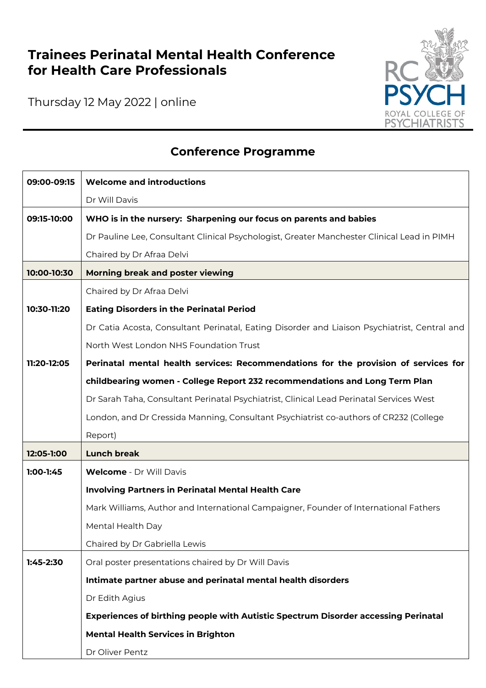## **Trainees Perinatal Mental Health Conference for Health Care Professionals**

Thursday 12 May 2022 | online



## **Conference Programme**

| 09:00-09:15 | <b>Welcome and introductions</b>                                                             |
|-------------|----------------------------------------------------------------------------------------------|
|             | Dr Will Davis                                                                                |
| 09:15-10:00 | WHO is in the nursery: Sharpening our focus on parents and babies                            |
|             | Dr Pauline Lee, Consultant Clinical Psychologist, Greater Manchester Clinical Lead in PIMH   |
|             | Chaired by Dr Afraa Delvi                                                                    |
| 10:00-10:30 | Morning break and poster viewing                                                             |
|             | Chaired by Dr Afraa Delvi                                                                    |
| 10:30-11:20 | <b>Eating Disorders in the Perinatal Period</b>                                              |
|             | Dr Catia Acosta, Consultant Perinatal, Eating Disorder and Liaison Psychiatrist, Central and |
|             | North West London NHS Foundation Trust                                                       |
| 11:20-12:05 | Perinatal mental health services: Recommendations for the provision of services for          |
|             | childbearing women - College Report 232 recommendations and Long Term Plan                   |
|             | Dr Sarah Taha, Consultant Perinatal Psychiatrist, Clinical Lead Perinatal Services West      |
|             | London, and Dr Cressida Manning, Consultant Psychiatrist co-authors of CR232 (College        |
|             | Report)                                                                                      |
| 12:05-1:00  | <b>Lunch break</b>                                                                           |
| $1:00-1:45$ | <b>Welcome</b> - Dr Will Davis                                                               |
|             | <b>Involving Partners in Perinatal Mental Health Care</b>                                    |
|             | Mark Williams, Author and International Campaigner, Founder of International Fathers         |
|             | Mental Health Day                                                                            |
|             | Chaired by Dr Gabriella Lewis                                                                |
| $1:45-2:30$ | Oral poster presentations chaired by Dr Will Davis                                           |
|             | Intimate partner abuse and perinatal mental health disorders                                 |
|             | Dr Edith Agius                                                                               |
|             | Experiences of birthing people with Autistic Spectrum Disorder accessing Perinatal           |
|             | <b>Mental Health Services in Brighton</b>                                                    |
|             | Dr Oliver Pentz                                                                              |